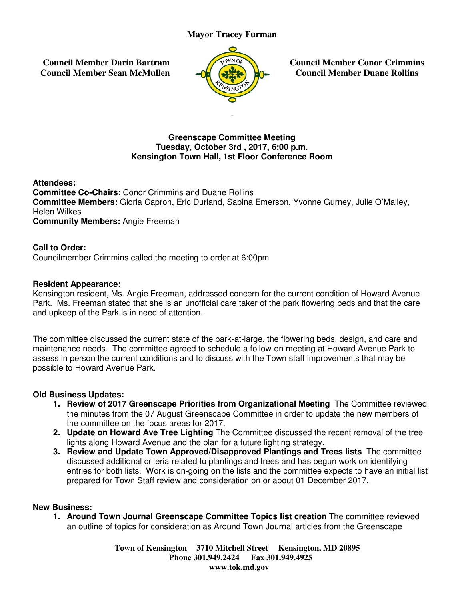**Council Member Darin Bartram Council Member Sean McMullen**



**Council Member Conor Crimmins Council Member Council Member Duane Rollins**

# **Greenscape Committee Meetin Meeting Tuesday, October 3rd , 2017, 6:00 p.m p.m. Kensington Town Hall, 1st Floor Conference Roo Town Hall, Room**

**Attendees: Committee Co-Chairs: Conor Crimmins and Duane Rollins Committee Members:** Gloria Capron, Eric Durland, Sabina Emerson, Yvonne Gurney, Julie O'Malley,<br>Helen Wilkes<br>**Community Members:** Angie Freeman Helen Wilkes **Community Members:** Angie Freema Mayor Tracey Furman<br>
tram<br>
ullen<br>
ullen<br>
Tuesday, October 3rd , 2017, 6:00 p<br>
Tuesday, October 3rd , 2017, 6:00 p<br>
ington Town Hall, 1st Floor Conferer<br>
Crimmins and Duane Rollins<br>
apron, Eric Durland, Sabina Emerson,<br>
ree

# **Call to Order:**

Councilmember Crimmins called the meeting to order at 6:00pm

### **Resident Appearance:**

Kensington resident, Ms. Angie Freeman, addressed concern for the current condition of Howard Avenue Kensington resident, Ms. Angie Freeman, addressed concern for the current condition of Howard Avenue<br>Park. Ms. Freeman stated that she is an unofficial care taker of the park flowering beds and that the care and upkeep of the Park is in need of attention.

and upkeep of the Park is in need of attention.<br>The committee discussed the current state of the park-at-large, the flowering beds, design, and care and maintenance needs. The committee agreed to schedule a follow-on meeting at Howard Avenue Park to assess in person the current conditions and to discuss with the Town staff improvements that may be possible to Howard Avenue Park. park-at-large, the flowering beds, design, and care and<br>hedule a follow-on meeting at Howard Avenue Park to<br>cuss with the Town staff improvements that may be<br>**from Organizational Meeting** The Committee reviewed<br>tape Commit

### **Old Business Updates:**

- 1. Review of 2017 Greenscape Priorities from Organizational Meeting The Committee reviewed the minutes from the 07 August Greenscape Committee in order to update the new members of the committee on the focus areas for 2017.
- **2. Update on Howard Ave Tree Lighting Howard Lighting** The Committee discussed the recent removal of the tree lights along Howard Avenue and the plan for a future lighting strategy.
- **3. Review and Update Town Approved/Disapproved Plantings and Trees lists**  The committee discussed additional criteria related to plantings and trees and has begun work on identifying discussed additional criteria related to plantings and trees and has begun work on identifying<br>entries for both lists. Work is on-going on the lists and the committee expects to have an initial list entries for both lists. Work is on-going on the lists and the committee expects to h<br>prepared for Town Staff review and consideration on or about 01 December 2017.

### **New Business:**

1. Around Town Journal Greenscape Committee Topics list creation The committee reviewed an outline of topics for consideration as Around Town Journal articles from the Greenscape

> **Town of Kensington Kensington 3710 Mitchell Street Kensington, MD 20895 Phone 301.949.2424 301.949.2424 Fax 301.949.4925 www.tok.md.gov**